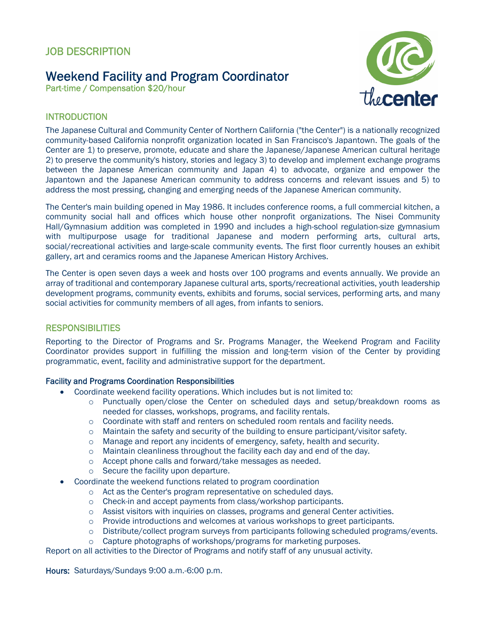# Weekend Facility and Program Coordinator

Part-time / Compensation \$20/hour



## **INTRODUCTION**

The Japanese Cultural and Community Center of Northern California ("the Center") is a nationally recognized community-based California nonprofit organization located in San Francisco's Japantown. The goals of the Center are 1) to preserve, promote, educate and share the Japanese/Japanese American cultural heritage 2) to preserve the community's history, stories and legacy 3) to develop and implement exchange programs between the Japanese American community and Japan 4) to advocate, organize and empower the Japantown and the Japanese American community to address concerns and relevant issues and 5) to address the most pressing, changing and emerging needs of the Japanese American community.

The Center's main building opened in May 1986. It includes conference rooms, a full commercial kitchen, a community social hall and offices which house other nonprofit organizations. The Nisei Community Hall/Gymnasium addition was completed in 1990 and includes a high-school regulation-size gymnasium with multipurpose usage for traditional Japanese and modern performing arts, cultural arts, social/recreational activities and large-scale community events. The first floor currently houses an exhibit gallery, art and ceramics rooms and the Japanese American History Archives.

The Center is open seven days a week and hosts over 100 programs and events annually. We provide an array of traditional and contemporary Japanese cultural arts, sports/recreational activities, youth leadership development programs, community events, exhibits and forums, social services, performing arts, and many social activities for community members of all ages, from infants to seniors.

## **RESPONSIBILITIES**

Reporting to the Director of Programs and Sr. Programs Manager, the Weekend Program and Facility Coordinator provides support in fulfilling the mission and long-term vision of the Center by providing programmatic, event, facility and administrative support for the department.

#### Facility and Programs Coordination Responsibilities

- Coordinate weekend facility operations. Which includes but is not limited to:
	- o Punctually open/close the Center on scheduled days and setup/breakdown rooms as needed for classes, workshops, programs, and facility rentals.
	- $\circ$  Coordinate with staff and renters on scheduled room rentals and facility needs.
	- o Maintain the safety and security of the building to ensure participant/visitor safety.
	- o Manage and report any incidents of emergency, safety, health and security.
	- $\circ$  Maintain cleanliness throughout the facility each day and end of the day.
	- o Accept phone calls and forward/take messages as needed.
	- o Secure the facility upon departure.
- Coordinate the weekend functions related to program coordination
	- o Act as the Center's program representative on scheduled days.
	- o Check-in and accept payments from class/workshop participants.
	- o Assist visitors with inquiries on classes, programs and general Center activities.
	- $\circ$  Provide introductions and welcomes at various workshops to greet participants.
	- o Distribute/collect program surveys from participants following scheduled programs/events.
	- o Capture photographs of workshops/programs for marketing purposes.

Report on all activities to the Director of Programs and notify staff of any unusual activity.

Hours: Saturdays/Sundays 9:00 a.m.-6:00 p.m.